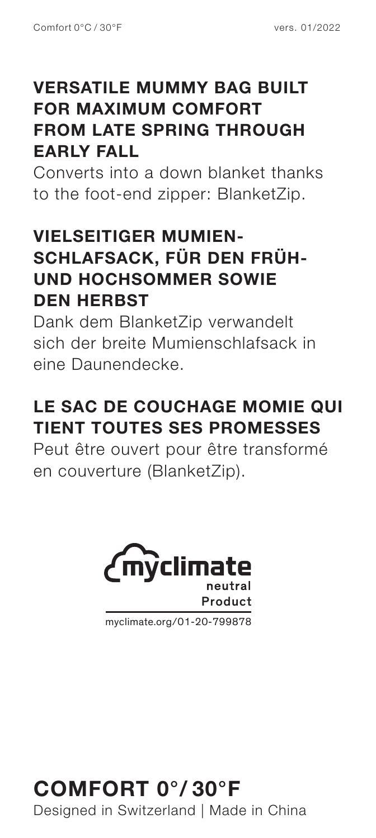#### **VERSATILE MUMMY BAG BUILT FOR MAXIMUM COMFORT FROM LATE SPRING THROUGH EARLY FALL**

Converts into a down blanket thanks to the foot-end zipper: BlanketZip.

#### **VIELSEITIGER MUMIEN-SCHLAFSACK, FÜR DEN FRÜH-UND HOCHSOMMER SOWIE DEN HERBST**

Dank dem BlanketZip verwandelt sich der breite Mumienschlafsack in eine Daunendecke.

### **LE SAC DE COUCHAGE MOMIE QUI TIENT TOUTES SES PROMESSES**

Peut être ouvert pour être transformé en couverture (BlanketZip).



myclimate.org/01-20-799878

#### **COMFORT 0°/ 30°F** Designed in Switzerland | Made in China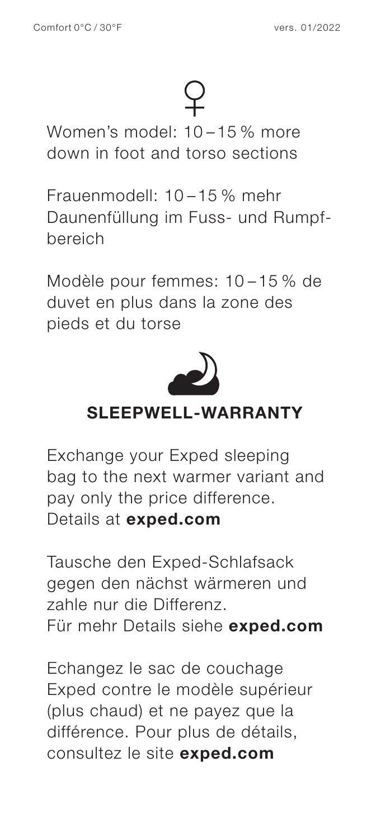Women's model: 10 – 15 % more down in foot and torso sections

Frauenmodell: 10 – 15 % mehr Daunenfüllung im Fuss- und Rumpfbereich

Modèle pour femmes: 10 – 15 % de duvet en plus dans la zone des pieds et du torse



#### **SLEEPWELL-WARRANTY**

Exchange your Exped sleeping bag to the next warmer variant and pay only the price difference. Details at **exped.com**

Tausche den Exped-Schlafsack gegen den nächst wärmeren und zahle nur die Differenz. Für mehr Details siehe **exped.com**

Echangez le sac de couchage Exped contre le modèle supérieur (plus chaud) et ne payez que la différence. Pour plus de détails, consultez le site **exped.com**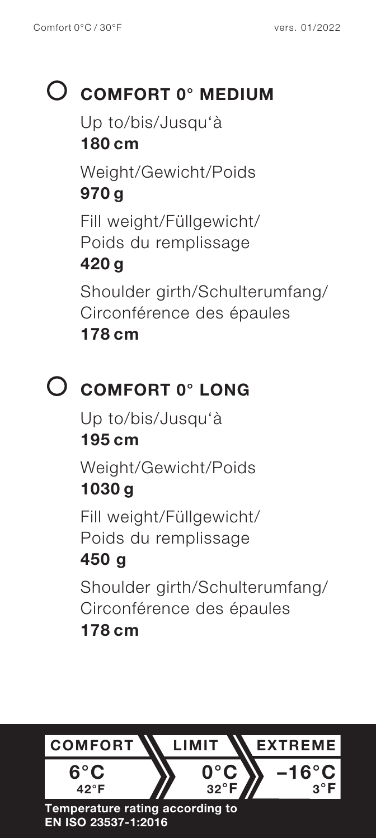## **COMFORT 0° MEDIUM**

Up to/bis/Jusqu'à

#### **180 cm**

Weight/Gewicht/Poids **970 g**

Fill weight/Füllgewicht/ Poids du remplissage

#### **420 g**

Shoulder girth/Schulterumfang/ Circonférence des épaules **178 cm**

### **COMFORT 0° LONG**

Up to/bis/Jusqu'à **195 cm** Weight/Gewicht/Poids **1030 g**

Fill weight/Füllgewicht/ Poids du remplissage

### **450 g**

Shoulder girth/Schulterumfang/ Circonférence des épaules **178 cm**

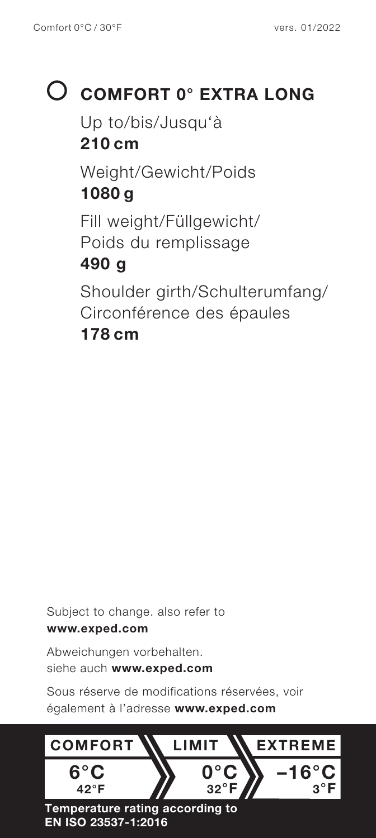# **COMFORT 0° EXTRA LONG**

Up to/bis/Jusqu'à **210 cm** Weight/Gewicht/Poids **1080 g** Fill weight/Füllgewicht/ Poids du remplissage **490 g** Shoulder girth/Schulterumfang/ Circonférence des épaules **178 cm**

Subject to change. also refer to **www.exped.com**

Abweichungen vorbehalten. siehe auch **www.exped.com**

Sous réserve de modifications réservées, voir également à l'adresse **www.exped.com**

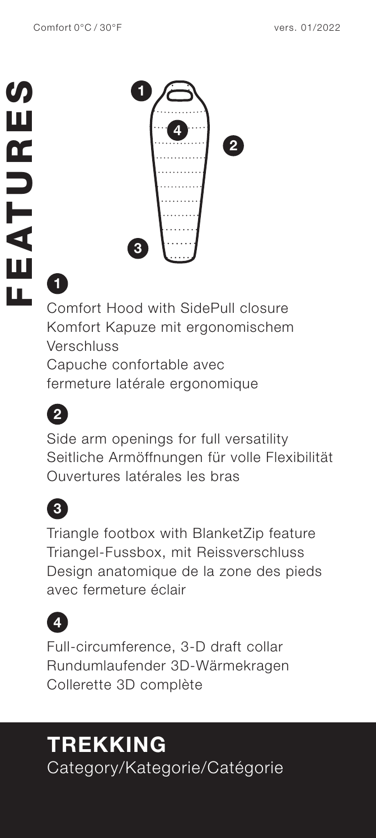

# **1**

Comfort Hood with SidePull closure Komfort Kapuze mit ergonomischem Verschluss Capuche confortable avec

fermeture latérale ergonomique



Side arm openings for full versatility Seitliche Armöffnungen für volle Flexibilität Ouvertures latérales les bras



Triangle footbox with BlanketZip feature Triangel-Fussbox, mit Reissverschluss Design anatomique de la zone des pieds avec fermeture éclair



Full-circumference, 3-D draft collar Rundumlaufender 3D-Wärmekragen Collerette 3D complète

### **TREKKING** Category/Kategorie/Catégorie